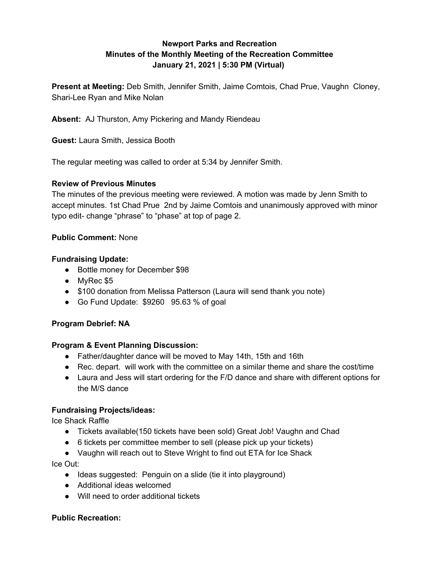# **Newport Parks and Recreation Minutes of the Monthly Meeting of the Recreation Committee January 21, 2021 | 5:30 PM (Virtual)**

**Present at Meeting:** Deb Smith, Jennifer Smith, Jaime Comtois, Chad Prue, Vaughn Cloney, Shari-Lee Ryan and Mike Nolan

**Absent:** AJ Thurston, Amy Pickering and Mandy Riendeau

**Guest:** Laura Smith, Jessica Booth

The regular meeting was called to order at 5:34 by Jennifer Smith.

## **Review of Previous Minutes**

The minutes of the previous meeting were reviewed. A motion was made by Jenn Smith to accept minutes. 1st Chad Prue 2nd by Jaime Comtois and unanimously approved with minor typo edit- change "phrase" to "phase" at top of page 2.

## **Public Comment:** None

## **Fundraising Update:**

- Bottle money for December \$98
- MyRec \$5
- \$100 donation from Melissa Patterson (Laura will send thank you note)
- Go Fund Update: \$9260 95.63 % of goal

### **Program Debrief: NA**

### **Program & Event Planning Discussion:**

- Father/daughter dance will be moved to May 14th, 15th and 16th
- Rec. depart. will work with the committee on a similar theme and share the cost/time
- Laura and Jess will start ordering for the F/D dance and share with different options for the M/S dance

### **Fundraising Projects/ideas:**

Ice Shack Raffle

- Tickets available(150 tickets have been sold) Great Job! Vaughn and Chad
- 6 tickets per committee member to sell (please pick up your tickets)
- Vaughn will reach out to Steve Wright to find out ETA for Ice Shack

Ice Out:

- Ideas suggested: Penguin on a slide (tie it into playground)
- Additional ideas welcomed
- Will need to order additional tickets

# **Public Recreation:**